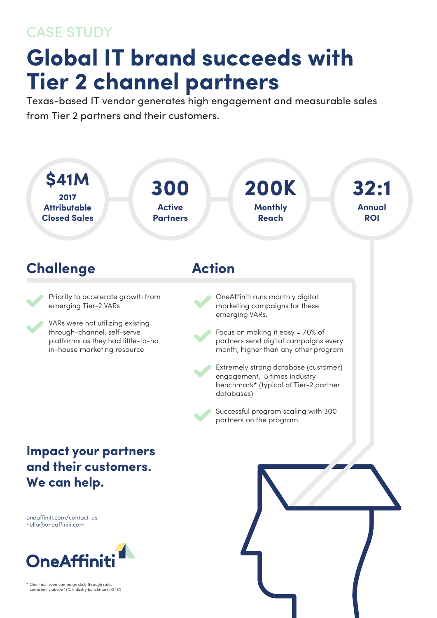## CASE STUDY

## **Global IT brand succeeds with Tier 2 channel partners**

Texas-based IT vendor generates high engagement and measurable sales from Tier 2 partners and their customers.



\* Client achieved campaign click-through rates consistently above 13%, Industry benchmark =2.16%